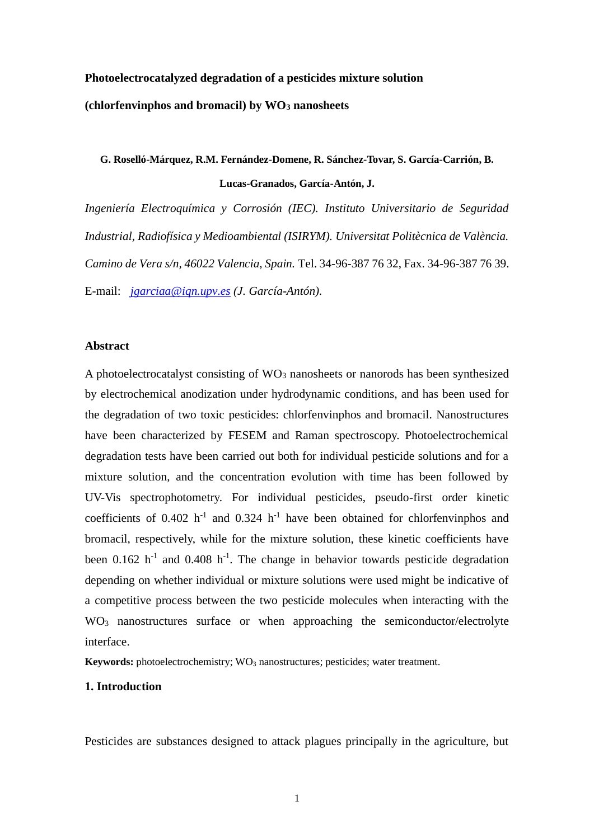# **Photoelectrocatalyzed degradation of a pesticides mixture solution (chlorfenvinphos and bromacil) by WO<sup>3</sup> nanosheets**

## **G. Roselló-Márquez, R.M. Fernández-Domene, R. Sánchez-Tovar, S. García-Carrión, B. Lucas-Granados, García-Antón, J.**

*Ingeniería Electroquímica y Corrosión (IEC). Instituto Universitario de Seguridad Industrial, Radiofísica y Medioambiental (ISIRYM). Universitat Politècnica de València. Camino de Vera s/n, 46022 Valencia, Spain.* Tel. 34-96-387 76 32, Fax. 34-96-387 76 39. E-mail: *[jgarciaa@iqn.upv.es](mailto:jgarciaa@iqn.upv.es) (J. García-Antón).*

#### **Abstract**

A photoelectrocatalyst consisting of  $WO_3$  nanosheets or nanorods has been synthesized by electrochemical anodization under hydrodynamic conditions, and has been used for the degradation of two toxic pesticides: chlorfenvinphos and bromacil. Nanostructures have been characterized by FESEM and Raman spectroscopy. Photoelectrochemical degradation tests have been carried out both for individual pesticide solutions and for a mixture solution, and the concentration evolution with time has been followed by UV-Vis spectrophotometry. For individual pesticides, pseudo-first order kinetic coefficients of  $0.402$  h<sup>-1</sup> and  $0.324$  h<sup>-1</sup> have been obtained for chlorfenvinphos and bromacil, respectively, while for the mixture solution, these kinetic coefficients have been  $0.162$  h<sup>-1</sup> and  $0.408$  h<sup>-1</sup>. The change in behavior towards pesticide degradation depending on whether individual or mixture solutions were used might be indicative of a competitive process between the two pesticide molecules when interacting with the WO<sub>3</sub> nanostructures surface or when approaching the semiconductor/electrolyte interface.

**Keywords:** photoelectrochemistry; WO<sub>3</sub> nanostructures; pesticides; water treatment.

#### **1. Introduction**

Pesticides are substances designed to attack plagues principally in the agriculture, but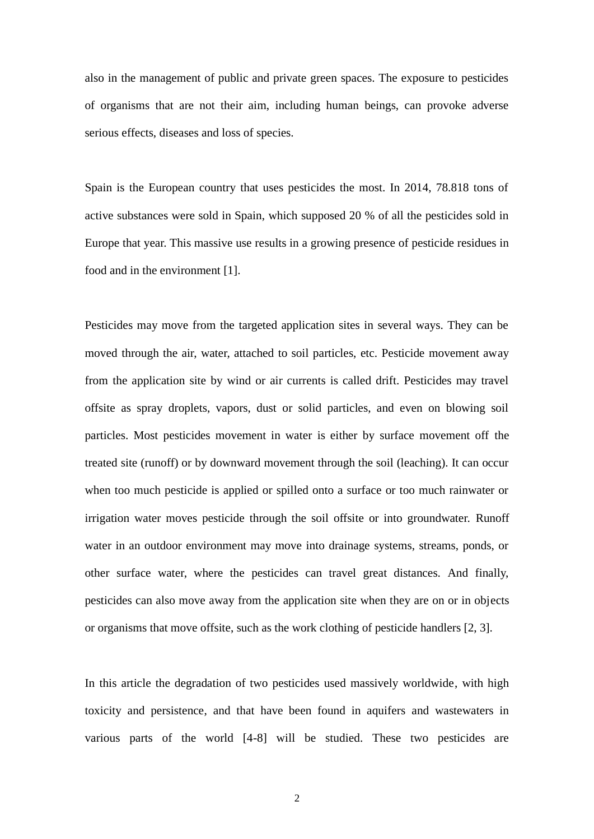also in the management of public and private green spaces. The exposure to pesticides of organisms that are not their aim, including human beings, can provoke adverse serious effects, diseases and loss of species.

Spain is the European country that uses pesticides the most. In 2014, 78.818 tons of active substances were sold in Spain, which supposed 20 % of all the pesticides sold in Europe that year. This massive use results in a growing presence of pesticide residues in food and in the environment [1].

Pesticides may move from the targeted application sites in several ways. They can be moved through the air, water, attached to soil particles, etc. Pesticide movement away from the application site by wind or air currents is called drift. Pesticides may travel offsite as spray droplets, vapors, dust or solid particles, and even on blowing soil particles. Most pesticides movement in water is either by surface movement off the treated site (runoff) or by downward movement through the soil (leaching). It can occur when too much pesticide is applied or spilled onto a surface or too much rainwater or irrigation water moves pesticide through the soil offsite or into groundwater. Runoff water in an outdoor environment may move into drainage systems, streams, ponds, or other surface water, where the pesticides can travel great distances. And finally, pesticides can also move away from the application site when they are on or in objects or organisms that move offsite, such as the work clothing of pesticide handlers [2, 3].

In this article the degradation of two pesticides used massively worldwide, with high toxicity and persistence, and that have been found in aquifers and wastewaters in various parts of the world [4-8] will be studied. These two pesticides are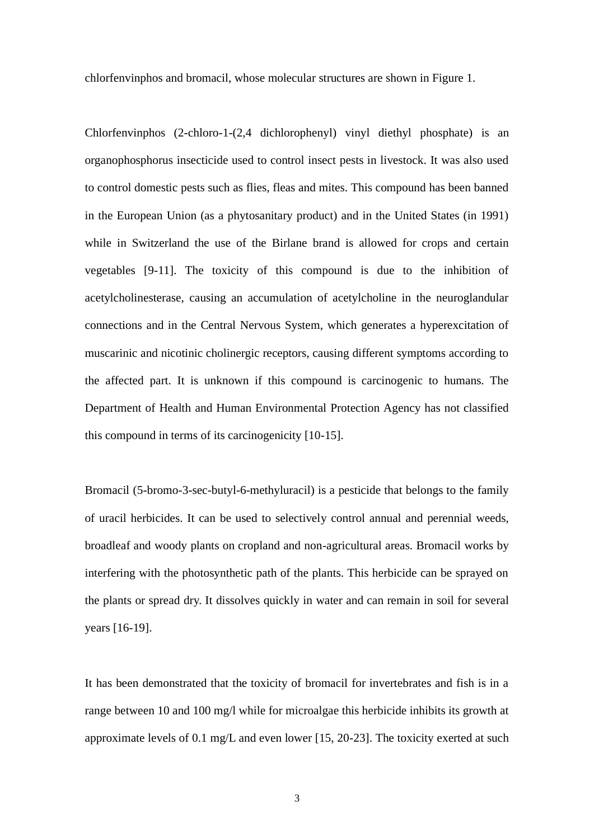chlorfenvinphos and bromacil, whose molecular structures are shown in Figure 1.

Chlorfenvinphos (2-chloro-1-(2,4 dichlorophenyl) vinyl diethyl phosphate) is an organophosphorus insecticide used to control insect pests in livestock. It was also used to control domestic pests such as flies, fleas and mites. This compound has been banned in the European Union (as a phytosanitary product) and in the United States (in 1991) while in Switzerland the use of the Birlane brand is allowed for crops and certain vegetables [9-11]. The toxicity of this compound is due to the inhibition of acetylcholinesterase, causing an accumulation of acetylcholine in the neuroglandular connections and in the Central Nervous System, which generates a hyperexcitation of muscarinic and nicotinic cholinergic receptors, causing different symptoms according to the affected part. It is unknown if this compound is carcinogenic to humans. The Department of Health and Human Environmental Protection Agency has not classified this compound in terms of its carcinogenicity [10-15].

Bromacil (5-bromo-3-sec-butyl-6-methyluracil) is a pesticide that belongs to the family of uracil herbicides. It can be used to selectively control annual and perennial weeds, broadleaf and woody plants on cropland and non-agricultural areas. Bromacil works by interfering with the photosynthetic path of the plants. This herbicide can be sprayed on the plants or spread dry. It dissolves quickly in water and can remain in soil for several years [16-19].

It has been demonstrated that the toxicity of bromacil for invertebrates and fish is in a range between 10 and 100 mg/l while for microalgae this herbicide inhibits its growth at approximate levels of 0.1 mg/L and even lower [15, 20-23]. The toxicity exerted at such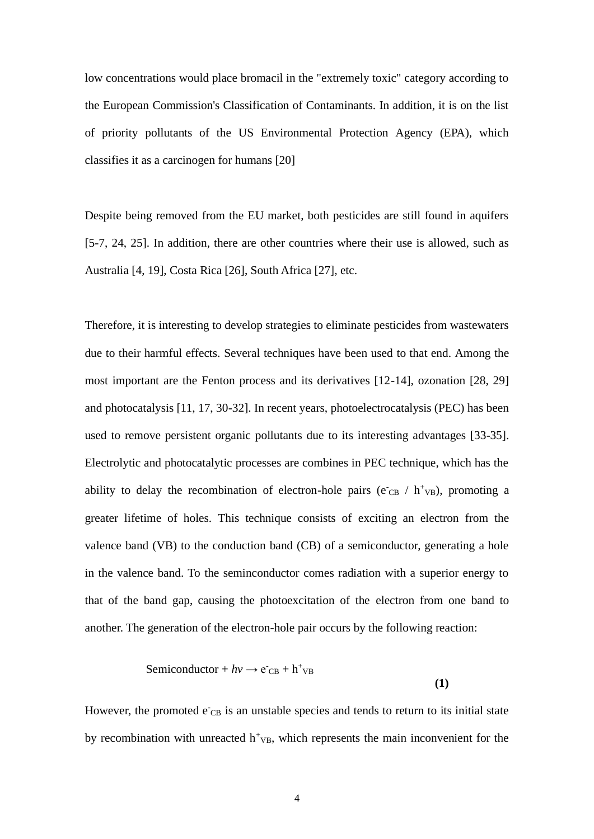low concentrations would place bromacil in the "extremely toxic" category according to the European Commission's Classification of Contaminants. In addition, it is on the list of priority pollutants of the US Environmental Protection Agency (EPA), which classifies it as a carcinogen for humans [20]

Despite being removed from the EU market, both pesticides are still found in aquifers [5-7, 24, 25]. In addition, there are other countries where their use is allowed, such as Australia [4, 19], Costa Rica [26], South Africa [27], etc.

Therefore, it is interesting to develop strategies to eliminate pesticides from wastewaters due to their harmful effects. Several techniques have been used to that end. Among the most important are the Fenton process and its derivatives [12-14], ozonation [28, 29] and photocatalysis [11, 17, 30-32]. In recent years, photoelectrocatalysis (PEC) has been used to remove persistent organic pollutants due to its interesting advantages [33-35]. Electrolytic and photocatalytic processes are combines in PEC technique, which has the ability to delay the recombination of electron-hole pairs ( $e^-$ <sub>CB</sub> /  $h^+$ <sub>VB</sub>), promoting a greater lifetime of holes. This technique consists of exciting an electron from the valence band (VB) to the conduction band (CB) of a semiconductor, generating a hole in the valence band. To the seminconductor comes radiation with a superior energy to that of the band gap, causing the photoexcitation of the electron from one band to another. The generation of the electron-hole pair occurs by the following reaction:

Semiconductor + 
$$
hv \rightarrow e^-{}_{CB} + h^+{}_{VB}
$$
 (1)

However, the promoted  $e_{CB}$  is an unstable species and tends to return to its initial state by recombination with unreacted  $h<sup>+</sup><sub>VB</sub>$ , which represents the main inconvenient for the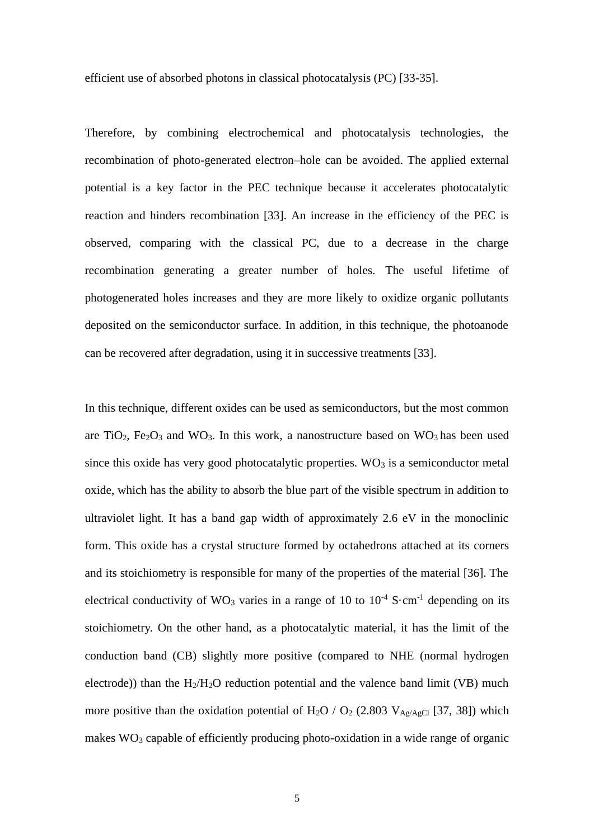efficient use of absorbed photons in classical photocatalysis (PC) [33-35].

Therefore, by combining electrochemical and photocatalysis technologies, the recombination of photo-generated electron–hole can be avoided. The applied external potential is a key factor in the PEC technique because it accelerates photocatalytic reaction and hinders recombination [33]. An increase in the efficiency of the PEC is observed, comparing with the classical PC, due to a decrease in the charge recombination generating a greater number of holes. The useful lifetime of photogenerated holes increases and they are more likely to oxidize organic pollutants deposited on the semiconductor surface. In addition, in this technique, the photoanode can be recovered after degradation, using it in successive treatments [33].

In this technique, different oxides can be used as semiconductors, but the most common are TiO<sub>2</sub>, Fe<sub>2</sub>O<sub>3</sub> and WO<sub>3</sub>. In this work, a nanostructure based on WO<sub>3</sub> has been used since this oxide has very good photocatalytic properties.  $WO<sub>3</sub>$  is a semiconductor metal oxide, which has the ability to absorb the blue part of the visible spectrum in addition to ultraviolet light. It has a band gap width of approximately 2.6 eV in the monoclinic form. This oxide has a crystal structure formed by octahedrons attached at its corners and its stoichiometry is responsible for many of the properties of the material [36]. The electrical conductivity of WO<sub>3</sub> varies in a range of 10 to  $10^{-4}$  S·cm<sup>-1</sup> depending on its stoichiometry. On the other hand, as a photocatalytic material, it has the limit of the conduction band (CB) slightly more positive (compared to NHE (normal hydrogen electrode)) than the  $H_2/H_2O$  reduction potential and the valence band limit (VB) much more positive than the oxidation potential of H<sub>2</sub>O / O<sub>2</sub> (2.803 V<sub>Ag/AgCl</sub> [37, 38]) which makes WO<sup>3</sup> capable of efficiently producing photo-oxidation in a wide range of organic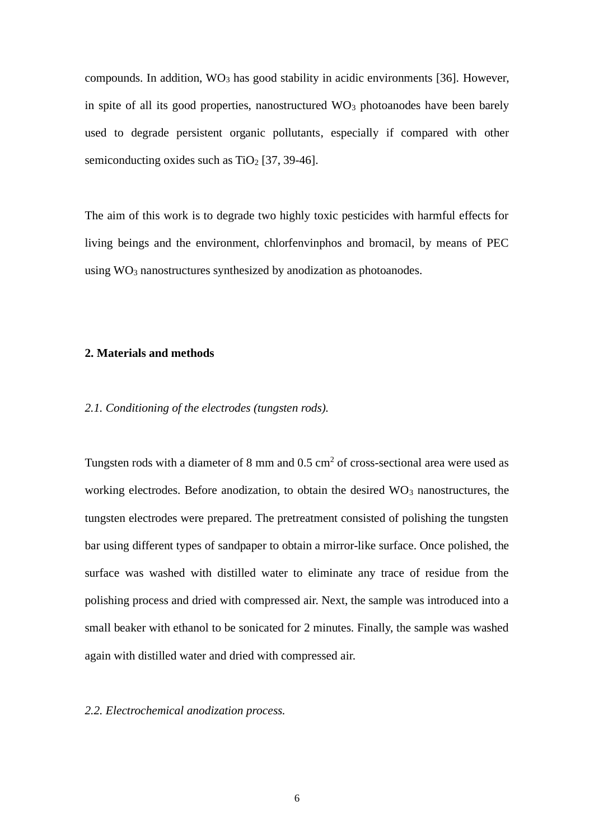compounds. In addition,  $WO_3$  has good stability in acidic environments [36]. However, in spite of all its good properties, nanostructured  $WO_3$  photoanodes have been barely used to degrade persistent organic pollutants, especially if compared with other semiconducting oxides such as  $TiO<sub>2</sub>$  [37, 39-46].

The aim of this work is to degrade two highly toxic pesticides with harmful effects for living beings and the environment, chlorfenvinphos and bromacil, by means of PEC using  $WO_3$  nanostructures synthesized by anodization as photoanodes.

#### **2. Materials and methods**

#### *2.1. Conditioning of the electrodes (tungsten rods).*

Tungsten rods with a diameter of 8 mm and  $0.5 \text{ cm}^2$  of cross-sectional area were used as working electrodes. Before anodization, to obtain the desired  $WO<sub>3</sub>$  nanostructures, the tungsten electrodes were prepared. The pretreatment consisted of polishing the tungsten bar using different types of sandpaper to obtain a mirror-like surface. Once polished, the surface was washed with distilled water to eliminate any trace of residue from the polishing process and dried with compressed air. Next, the sample was introduced into a small beaker with ethanol to be sonicated for 2 minutes. Finally, the sample was washed again with distilled water and dried with compressed air.

#### *2.2. Electrochemical anodization process.*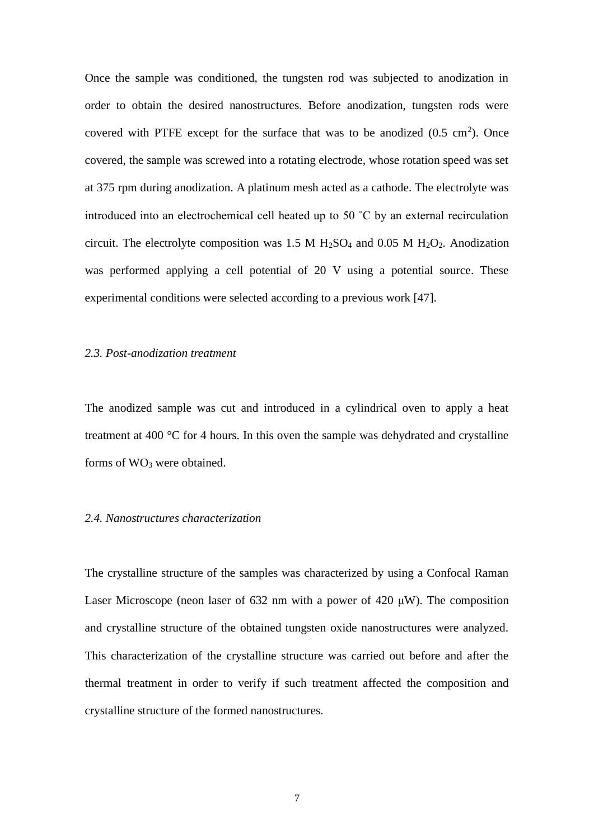Once the sample was conditioned, the tungsten rod was subjected to anodization in order to obtain the desired nanostructures. Before anodization, tungsten rods were covered with PTFE except for the surface that was to be anodized  $(0.5 \text{ cm}^2)$ . Once covered, the sample was screwed into a rotating electrode, whose rotation speed was set at 375 rpm during anodization. A platinum mesh acted as a cathode. The electrolyte was introduced into an electrochemical cell heated up to 50 ˚C by an external recirculation circuit. The electrolyte composition was 1.5 M  $H_2SO_4$  and 0.05 M  $H_2O_2$ . Anodization was performed applying a cell potential of 20 V using a potential source. These experimental conditions were selected according to a previous work [47].

#### *2.3. Post-anodization treatment*

The anodized sample was cut and introduced in a cylindrical oven to apply a heat treatment at 400 °C for 4 hours. In this oven the sample was dehydrated and crystalline forms of  $WO_3$  were obtained.

## *2.4. Nanostructures characterization*

The crystalline structure of the samples was characterized by using a Confocal Raman Laser Microscope (neon laser of 632 nm with a power of 420  $\mu$ W). The composition and crystalline structure of the obtained tungsten oxide nanostructures were analyzed. This characterization of the crystalline structure was carried out before and after the thermal treatment in order to verify if such treatment affected the composition and crystalline structure of the formed nanostructures.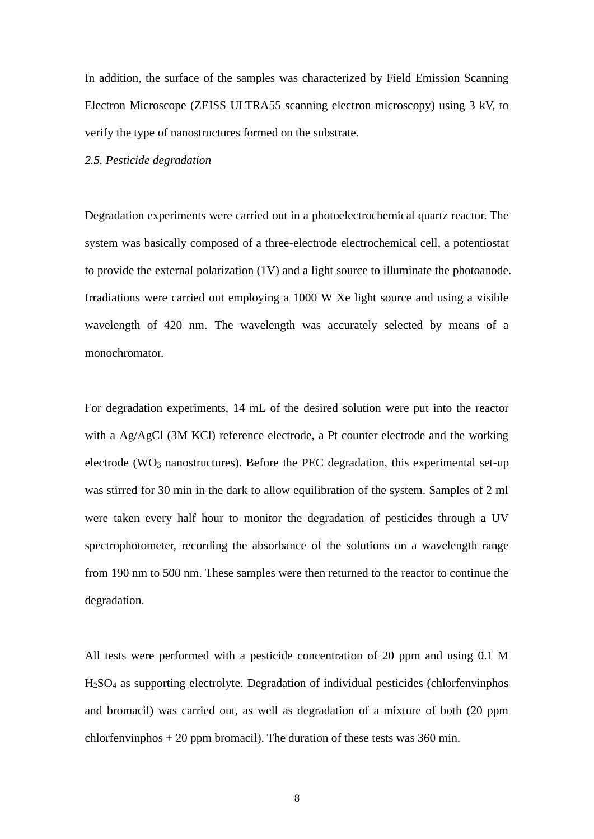In addition, the surface of the samples was characterized by Field Emission Scanning Electron Microscope (ZEISS ULTRA55 scanning electron microscopy) using 3 kV, to verify the type of nanostructures formed on the substrate.

*2.5. Pesticide degradation*

Degradation experiments were carried out in a photoelectrochemical quartz reactor. The system was basically composed of a three-electrode electrochemical cell, a potentiostat to provide the external polarization (1V) and a light source to illuminate the photoanode. Irradiations were carried out employing a 1000 W Xe light source and using a visible wavelength of 420 nm. The wavelength was accurately selected by means of a monochromator.

For degradation experiments, 14 mL of the desired solution were put into the reactor with a Ag/AgCl (3M KCl) reference electrode, a Pt counter electrode and the working electrode (WO<sub>3</sub> nanostructures). Before the PEC degradation, this experimental set-up was stirred for 30 min in the dark to allow equilibration of the system. Samples of 2 ml were taken every half hour to monitor the degradation of pesticides through a UV spectrophotometer, recording the absorbance of the solutions on a wavelength range from 190 nm to 500 nm. These samples were then returned to the reactor to continue the degradation.

All tests were performed with a pesticide concentration of 20 ppm and using 0.1 M H2SO<sup>4</sup> as supporting electrolyte. Degradation of individual pesticides (chlorfenvinphos and bromacil) was carried out, as well as degradation of a mixture of both (20 ppm chlorfenvinphos  $+ 20$  ppm bromacil). The duration of these tests was 360 min.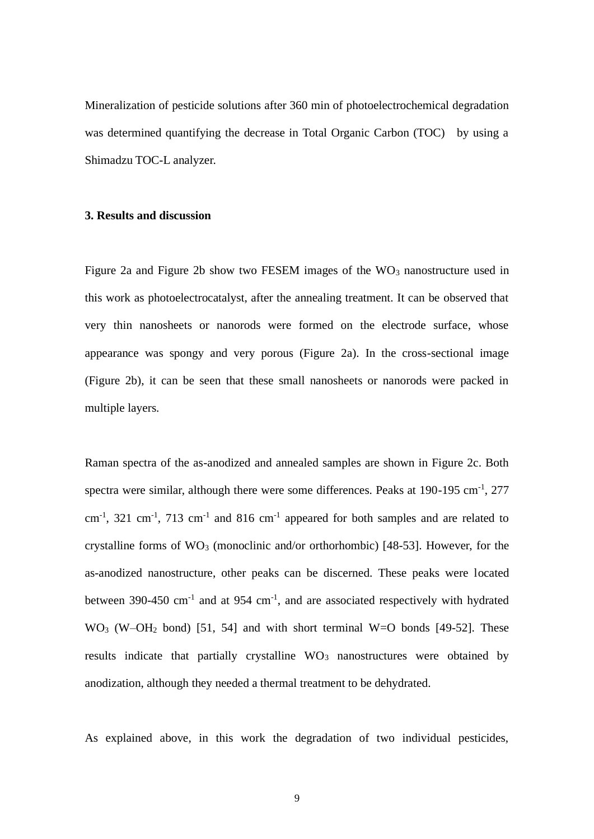Mineralization of pesticide solutions after 360 min of photoelectrochemical degradation was determined quantifying the decrease in Total Organic Carbon (TOC) by using a Shimadzu TOC-L analyzer.

#### **3. Results and discussion**

Figure 2a and Figure 2b show two FESEM images of the  $WO_3$  nanostructure used in this work as photoelectrocatalyst, after the annealing treatment. It can be observed that very thin nanosheets or nanorods were formed on the electrode surface, whose appearance was spongy and very porous (Figure 2a). In the cross-sectional image (Figure 2b), it can be seen that these small nanosheets or nanorods were packed in multiple layers.

Raman spectra of the as-anodized and annealed samples are shown in Figure 2c. Both spectra were similar, although there were some differences. Peaks at  $190-195$  cm<sup>-1</sup>,  $277$  $\text{cm}^{-1}$ , 321  $\text{cm}^{-1}$ , 713  $\text{cm}^{-1}$  and 816  $\text{cm}^{-1}$  appeared for both samples and are related to crystalline forms of  $WO_3$  (monoclinic and/or orthorhombic) [48-53]. However, for the as-anodized nanostructure, other peaks can be discerned. These peaks were located between 390-450 cm<sup>-1</sup> and at 954 cm<sup>-1</sup>, and are associated respectively with hydrated  $WO<sub>3</sub>$  (W–OH<sub>2</sub> bond) [51, 54] and with short terminal W=O bonds [49-52]. These results indicate that partially crystalline  $WO<sub>3</sub>$  nanostructures were obtained by anodization, although they needed a thermal treatment to be dehydrated.

As explained above, in this work the degradation of two individual pesticides,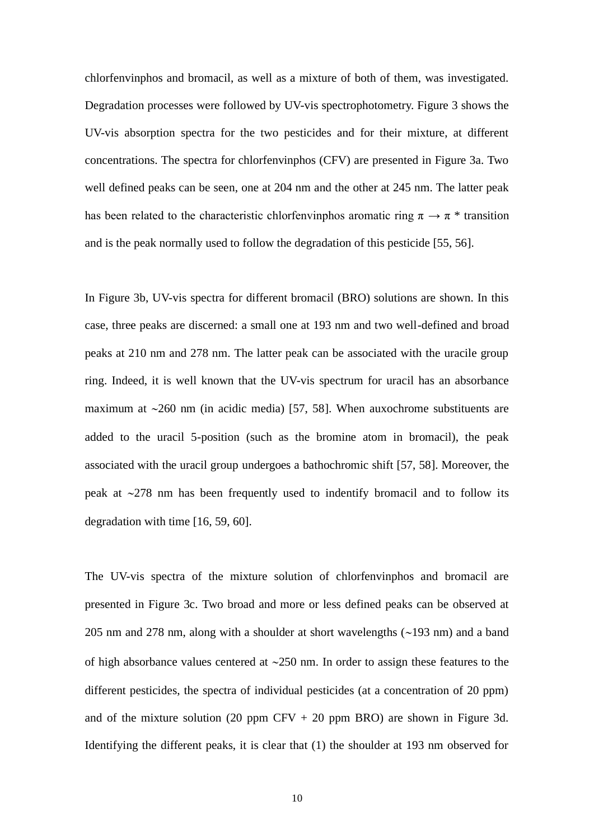chlorfenvinphos and bromacil, as well as a mixture of both of them, was investigated. Degradation processes were followed by UV-vis spectrophotometry. Figure 3 shows the UV-vis absorption spectra for the two pesticides and for their mixture, at different concentrations. The spectra for chlorfenvinphos (CFV) are presented in Figure 3a. Two well defined peaks can be seen, one at 204 nm and the other at 245 nm. The latter peak has been related to the characteristic chlorfenvinghos aromatic ring  $\pi \to \pi^*$  transition and is the peak normally used to follow the degradation of this pesticide [55, 56].

In Figure 3b, UV-vis spectra for different bromacil (BRO) solutions are shown. In this case, three peaks are discerned: a small one at 193 nm and two well-defined and broad peaks at 210 nm and 278 nm. The latter peak can be associated with the uracile group ring. Indeed, it is well known that the UV-vis spectrum for uracil has an absorbance maximum at  $\sim$ 260 nm (in acidic media) [57, 58]. When auxochrome substituents are added to the uracil 5-position (such as the bromine atom in bromacil), the peak associated with the uracil group undergoes a bathochromic shift [57, 58]. Moreover, the peak at  $\sim$ 278 nm has been frequently used to indentify bromacil and to follow its degradation with time [16, 59, 60].

The UV-vis spectra of the mixture solution of chlorfenvinphos and bromacil are presented in Figure 3c. Two broad and more or less defined peaks can be observed at 205 nm and 278 nm, along with a shoulder at short wavelengths  $(\sim 193 \text{ nm})$  and a band of high absorbance values centered at  $\sim$ 250 nm. In order to assign these features to the different pesticides, the spectra of individual pesticides (at a concentration of 20 ppm) and of the mixture solution (20 ppm CFV  $+$  20 ppm BRO) are shown in Figure 3d. Identifying the different peaks, it is clear that (1) the shoulder at 193 nm observed for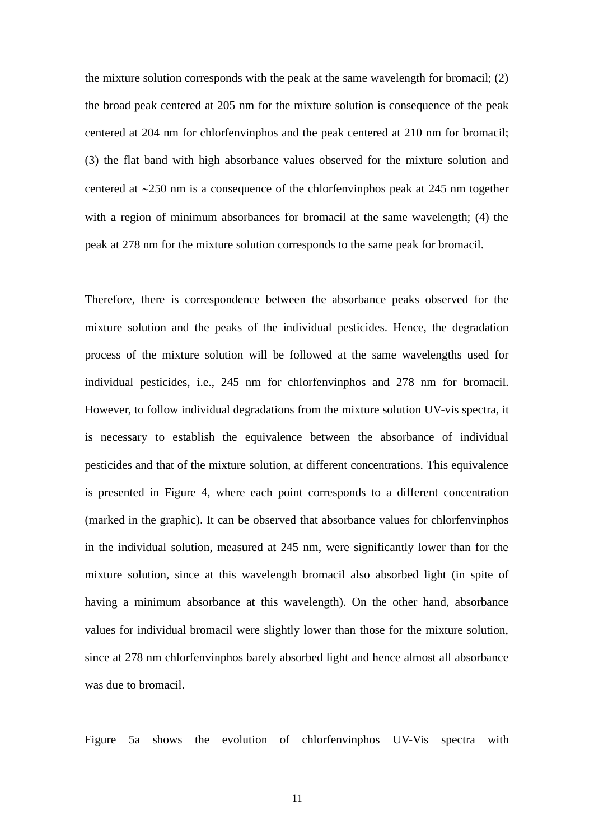the mixture solution corresponds with the peak at the same wavelength for bromacil; (2) the broad peak centered at 205 nm for the mixture solution is consequence of the peak centered at 204 nm for chlorfenvinphos and the peak centered at 210 nm for bromacil; (3) the flat band with high absorbance values observed for the mixture solution and centered at  $\sim$ 250 nm is a consequence of the chlorfenvinphos peak at 245 nm together with a region of minimum absorbances for bromacil at the same wavelength; (4) the peak at 278 nm for the mixture solution corresponds to the same peak for bromacil.

Therefore, there is correspondence between the absorbance peaks observed for the mixture solution and the peaks of the individual pesticides. Hence, the degradation process of the mixture solution will be followed at the same wavelengths used for individual pesticides, i.e., 245 nm for chlorfenvinphos and 278 nm for bromacil. However, to follow individual degradations from the mixture solution UV-vis spectra, it is necessary to establish the equivalence between the absorbance of individual pesticides and that of the mixture solution, at different concentrations. This equivalence is presented in Figure 4, where each point corresponds to a different concentration (marked in the graphic). It can be observed that absorbance values for chlorfenvinphos in the individual solution, measured at 245 nm, were significantly lower than for the mixture solution, since at this wavelength bromacil also absorbed light (in spite of having a minimum absorbance at this wavelength). On the other hand, absorbance values for individual bromacil were slightly lower than those for the mixture solution, since at 278 nm chlorfenvinphos barely absorbed light and hence almost all absorbance was due to bromacil.

Figure 5a shows the evolution of chlorfenvinphos UV-Vis spectra with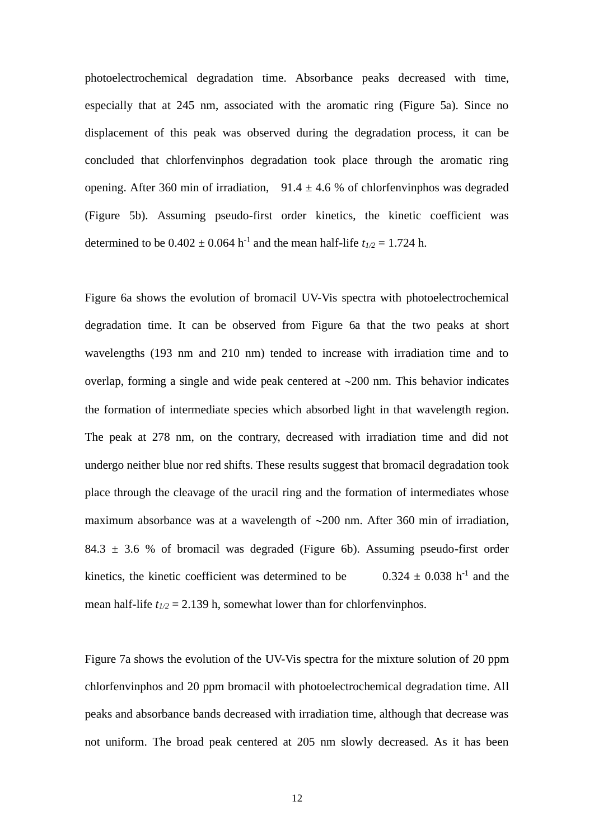photoelectrochemical degradation time. Absorbance peaks decreased with time, especially that at 245 nm, associated with the aromatic ring (Figure 5a). Since no displacement of this peak was observed during the degradation process, it can be concluded that chlorfenvinphos degradation took place through the aromatic ring opening. After 360 min of irradiation,  $91.4 \pm 4.6$  % of chlorfenvinphos was degraded (Figure 5b). Assuming pseudo-first order kinetics, the kinetic coefficient was determined to be  $0.402 \pm 0.064$  h<sup>-1</sup> and the mean half-life  $t_{1/2} = 1.724$  h.

Figure 6a shows the evolution of bromacil UV-Vis spectra with photoelectrochemical degradation time. It can be observed from Figure 6a that the two peaks at short wavelengths (193 nm and 210 nm) tended to increase with irradiation time and to overlap, forming a single and wide peak centered at  $\sim$ 200 nm. This behavior indicates the formation of intermediate species which absorbed light in that wavelength region. The peak at 278 nm, on the contrary, decreased with irradiation time and did not undergo neither blue nor red shifts. These results suggest that bromacil degradation took place through the cleavage of the uracil ring and the formation of intermediates whose maximum absorbance was at a wavelength of  $\sim$ 200 nm. After 360 min of irradiation, 84.3  $\pm$  3.6 % of bromacil was degraded (Figure 6b). Assuming pseudo-first order kinetics, the kinetic coefficient was determined to be.  $^{-1}$  and the mean half-life  $t_{1/2} = 2.139$  h, somewhat lower than for chlorfenvinghos.

Figure 7a shows the evolution of the UV-Vis spectra for the mixture solution of 20 ppm chlorfenvinphos and 20 ppm bromacil with photoelectrochemical degradation time. All peaks and absorbance bands decreased with irradiation time, although that decrease was not uniform. The broad peak centered at 205 nm slowly decreased. As it has been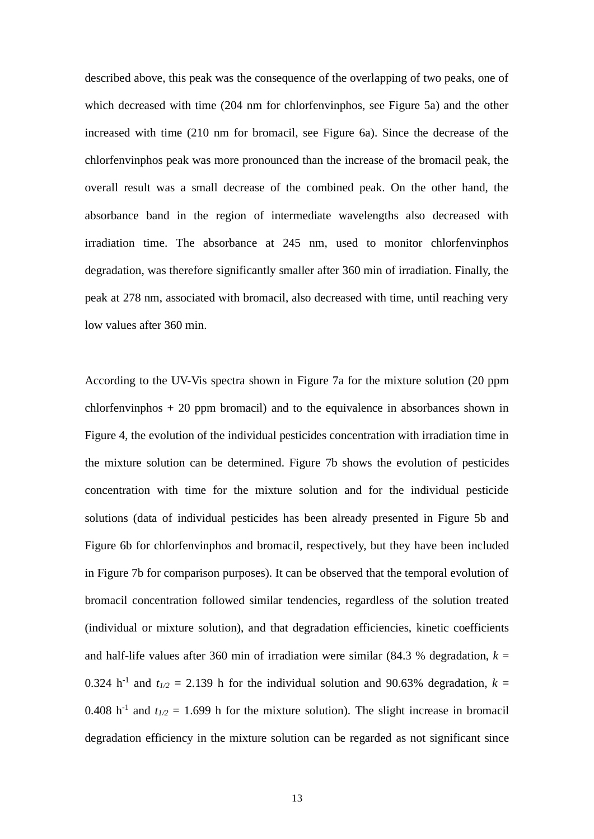described above, this peak was the consequence of the overlapping of two peaks, one of which decreased with time (204 nm for chlorfenvinphos, see Figure 5a) and the other increased with time (210 nm for bromacil, see Figure 6a). Since the decrease of the chlorfenvinphos peak was more pronounced than the increase of the bromacil peak, the overall result was a small decrease of the combined peak. On the other hand, the absorbance band in the region of intermediate wavelengths also decreased with irradiation time. The absorbance at 245 nm, used to monitor chlorfenvinphos degradation, was therefore significantly smaller after 360 min of irradiation. Finally, the peak at 278 nm, associated with bromacil, also decreased with time, until reaching very low values after 360 min.

According to the UV-Vis spectra shown in Figure 7a for the mixture solution (20 ppm chlorfenvinphos  $+20$  ppm bromacil) and to the equivalence in absorbances shown in Figure 4, the evolution of the individual pesticides concentration with irradiation time in the mixture solution can be determined. Figure 7b shows the evolution of pesticides concentration with time for the mixture solution and for the individual pesticide solutions (data of individual pesticides has been already presented in Figure 5b and Figure 6b for chlorfenvinphos and bromacil, respectively, but they have been included in Figure 7b for comparison purposes). It can be observed that the temporal evolution of bromacil concentration followed similar tendencies, regardless of the solution treated (individual or mixture solution), and that degradation efficiencies, kinetic coefficients and half-life values after 360 min of irradiation were similar (84.3 % degradation,  $k =$ 0.324 h<sup>-1</sup> and  $t_{1/2}$  = 2.139 h for the individual solution and 90.63% degradation,  $k =$ 0.408 h<sup>-1</sup> and  $t_{1/2}$  = 1.699 h for the mixture solution). The slight increase in bromacil degradation efficiency in the mixture solution can be regarded as not significant since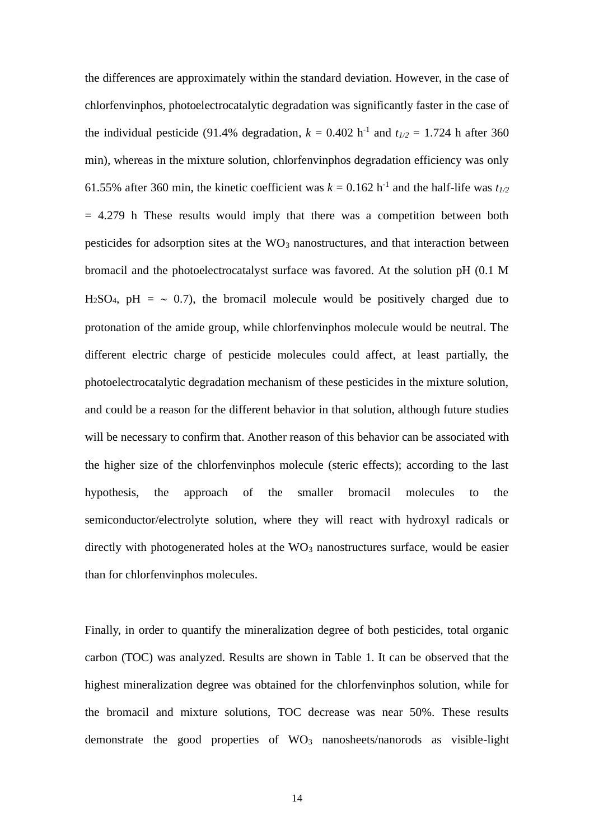the differences are approximately within the standard deviation. However, in the case of chlorfenvinphos, photoelectrocatalytic degradation was significantly faster in the case of the individual pesticide (91.4% degradation,  $k = 0.402$  h<sup>-1</sup> and  $t_{1/2} = 1.724$  h after 360 min), whereas in the mixture solution, chlorfenvinphos degradation efficiency was only 61.55% after 360 min, the kinetic coefficient was  $k = 0.162$  h<sup>-1</sup> and the half-life was  $t_{1/2}$  $= 4.279$  h These results would imply that there was a competition between both pesticides for adsorption sites at the  $WO<sub>3</sub>$  nanostructures, and that interaction between bromacil and the photoelectrocatalyst surface was favored. At the solution pH (0.1 M H<sub>2</sub>SO<sub>4</sub>, pH =  $\sim$  0.7), the bromacil molecule would be positively charged due to protonation of the amide group, while chlorfenvinphos molecule would be neutral. The different electric charge of pesticide molecules could affect, at least partially, the photoelectrocatalytic degradation mechanism of these pesticides in the mixture solution, and could be a reason for the different behavior in that solution, although future studies will be necessary to confirm that. Another reason of this behavior can be associated with the higher size of the chlorfenvinphos molecule (steric effects); according to the last hypothesis, the approach of the smaller bromacil molecules to the semiconductor/electrolyte solution, where they will react with hydroxyl radicals or directly with photogenerated holes at the  $WO_3$  nanostructures surface, would be easier than for chlorfenvinphos molecules.

Finally, in order to quantify the mineralization degree of both pesticides, total organic carbon (TOC) was analyzed. Results are shown in Table 1. It can be observed that the highest mineralization degree was obtained for the chlorfenvinphos solution, while for the bromacil and mixture solutions, TOC decrease was near 50%. These results demonstrate the good properties of WO<sub>3</sub> nanosheets/nanorods as visible-light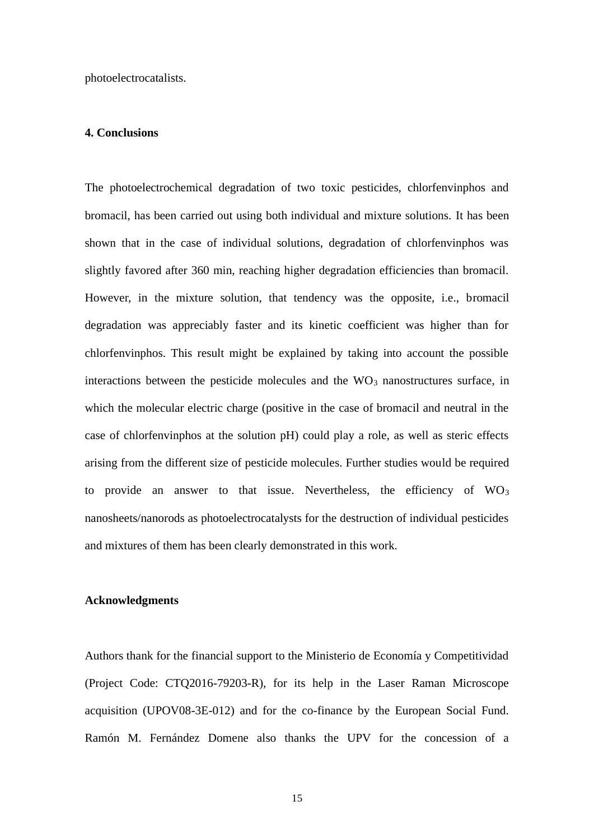photoelectrocatalists.

#### **4. Conclusions**

The photoelectrochemical degradation of two toxic pesticides, chlorfenvinphos and bromacil, has been carried out using both individual and mixture solutions. It has been shown that in the case of individual solutions, degradation of chlorfenvinphos was slightly favored after 360 min, reaching higher degradation efficiencies than bromacil. However, in the mixture solution, that tendency was the opposite, i.e., bromacil degradation was appreciably faster and its kinetic coefficient was higher than for chlorfenvinphos. This result might be explained by taking into account the possible interactions between the pesticide molecules and the  $WO<sub>3</sub>$  nanostructures surface, in which the molecular electric charge (positive in the case of bromacil and neutral in the case of chlorfenvinphos at the solution pH) could play a role, as well as steric effects arising from the different size of pesticide molecules. Further studies would be required to provide an answer to that issue. Nevertheless, the efficiency of  $WO<sub>3</sub>$ nanosheets/nanorods as photoelectrocatalysts for the destruction of individual pesticides and mixtures of them has been clearly demonstrated in this work.

#### **Acknowledgments**

Authors thank for the financial support to the Ministerio de Economía y Competitividad (Project Code: CTQ2016-79203-R), for its help in the Laser Raman Microscope acquisition (UPOV08-3E-012) and for the co-finance by the European Social Fund. Ramón M. Fernández Domene also thanks the UPV for the concession of a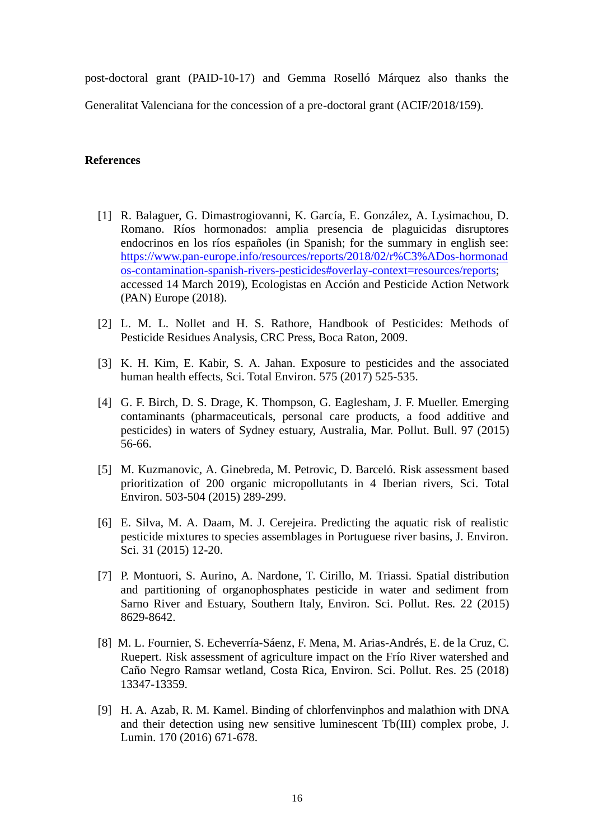post-doctoral grant (PAID-10-17) and Gemma Roselló Márquez also thanks the Generalitat Valenciana for the concession of a pre-doctoral grant (ACIF/2018/159).

## **References**

- [1] R. Balaguer, G. Dimastrogiovanni, K. García, E. González, A. Lysimachou, D. Romano. Ríos hormonados: amplia presencia de plaguicidas disruptores endocrinos en los ríos españoles (in Spanish; for the summary in english see: [https://www.pan-europe.info/resources/reports/2018/02/r%C3%ADos-hormonad](https://www.pan-europe.info/resources/reports/2018/02/r%C3%ADos-hormonados-contamination-spanish-rivers-pesticides#overlay-context=resources/reports) [os-contamination-spanish-rivers-pesticides#overlay-context=resources/reports;](https://www.pan-europe.info/resources/reports/2018/02/r%C3%ADos-hormonados-contamination-spanish-rivers-pesticides#overlay-context=resources/reports) accessed 14 March 2019), Ecologistas en Acción and Pesticide Action Network (PAN) Europe (2018).
- [2] L. M. L. Nollet and H. S. Rathore, Handbook of Pesticides: Methods of Pesticide Residues Analysis, CRC Press, Boca Raton, 2009.
- [3] K. H. Kim, E. Kabir, S. A. Jahan. Exposure to pesticides and the associated human health effects, Sci. Total Environ. 575 (2017) 525-535.
- [4] G. F. Birch, D. S. Drage, K. Thompson, G. Eaglesham, J. F. Mueller. Emerging contaminants (pharmaceuticals, personal care products, a food additive and pesticides) in waters of Sydney estuary, Australia, Mar. Pollut. Bull. 97 (2015) 56-66.
- [5] M. Kuzmanovic, A. Ginebreda, M. Petrovic, D. Barceló. Risk assessment based prioritization of 200 organic micropollutants in 4 Iberian rivers, Sci. Total Environ. 503-504 (2015) 289-299.
- [6] E. Silva, M. A. Daam, M. J. Cerejeira. Predicting the aquatic risk of realistic pesticide mixtures to species assemblages in Portuguese river basins, J. Environ. Sci. 31 (2015) 12-20.
- [7] P. Montuori, S. Aurino, A. Nardone, T. Cirillo, M. Triassi. Spatial distribution and partitioning of organophosphates pesticide in water and sediment from Sarno River and Estuary, Southern Italy, Environ. Sci. Pollut. Res. 22 (2015) 8629-8642.
- [8] M. L. Fournier, S. Echeverría-Sáenz, F. Mena, M. Arias-Andrés, E. de la Cruz, C. Ruepert. Risk assessment of agriculture impact on the Frío River watershed and Caño Negro Ramsar wetland, Costa Rica, Environ. Sci. Pollut. Res. 25 (2018) 13347-13359.
- [9] H. A. Azab, R. M. Kamel. Binding of chlorfenvinphos and malathion with DNA and their detection using new sensitive luminescent Tb(III) complex probe, J. Lumin. 170 (2016) 671-678.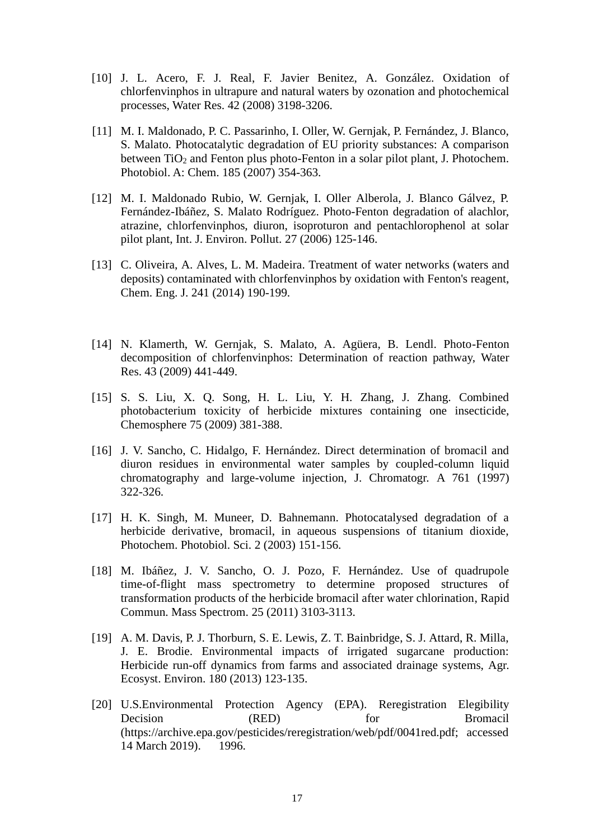- [10] J. L. Acero, F. J. Real, F. Javier Benitez, A. González. Oxidation of chlorfenvinphos in ultrapure and natural waters by ozonation and photochemical processes, Water Res. 42 (2008) 3198-3206.
- [11] M. I. Maldonado, P. C. Passarinho, I. Oller, W. Gernjak, P. Fernández, J. Blanco, S. Malato. Photocatalytic degradation of EU priority substances: A comparison between  $TiO<sub>2</sub>$  and Fenton plus photo-Fenton in a solar pilot plant, J. Photochem. Photobiol. A: Chem. 185 (2007) 354-363.
- [12] M. I. Maldonado Rubio, W. Gernjak, I. Oller Alberola, J. Blanco Gálvez, P. Fernández-Ibáñez, S. Malato Rodríguez. Photo-Fenton degradation of alachlor, atrazine, chlorfenvinphos, diuron, isoproturon and pentachlorophenol at solar pilot plant, Int. J. Environ. Pollut. 27 (2006) 125-146.
- [13] C. Oliveira, A. Alves, L. M. Madeira. Treatment of water networks (waters and deposits) contaminated with chlorfenvinphos by oxidation with Fenton's reagent, Chem. Eng. J. 241 (2014) 190-199.
- [14] N. Klamerth, W. Gernjak, S. Malato, A. Agüera, B. Lendl. Photo-Fenton decomposition of chlorfenvinphos: Determination of reaction pathway, Water Res. 43 (2009) 441-449.
- [15] S. S. Liu, X. Q. Song, H. L. Liu, Y. H. Zhang, J. Zhang. Combined photobacterium toxicity of herbicide mixtures containing one insecticide, Chemosphere 75 (2009) 381-388.
- [16] J. V. Sancho, C. Hidalgo, F. Hernández. Direct determination of bromacil and diuron residues in environmental water samples by coupled-column liquid chromatography and large-volume injection, J. Chromatogr. A 761 (1997) 322-326.
- [17] H. K. Singh, M. Muneer, D. Bahnemann. Photocatalysed degradation of a herbicide derivative, bromacil, in aqueous suspensions of titanium dioxide, Photochem. Photobiol. Sci. 2 (2003) 151-156.
- [18] M. Ibáñez, J. V. Sancho, O. J. Pozo, F. Hernández. Use of quadrupole time-of-flight mass spectrometry to determine proposed structures of transformation products of the herbicide bromacil after water chlorination, Rapid Commun. Mass Spectrom. 25 (2011) 3103-3113.
- [19] A. M. Davis, P. J. Thorburn, S. E. Lewis, Z. T. Bainbridge, S. J. Attard, R. Milla, J. E. Brodie. Environmental impacts of irrigated sugarcane production: Herbicide run-off dynamics from farms and associated drainage systems, Agr. Ecosyst. Environ. 180 (2013) 123-135.
- [20] U.S.Environmental Protection Agency (EPA). Reregistration Elegibility Decision (RED) for Bromacil (https://archive.epa.gov/pesticides/reregistration/web/pdf/0041red.pdf; accessed 14 March 2019). 1996.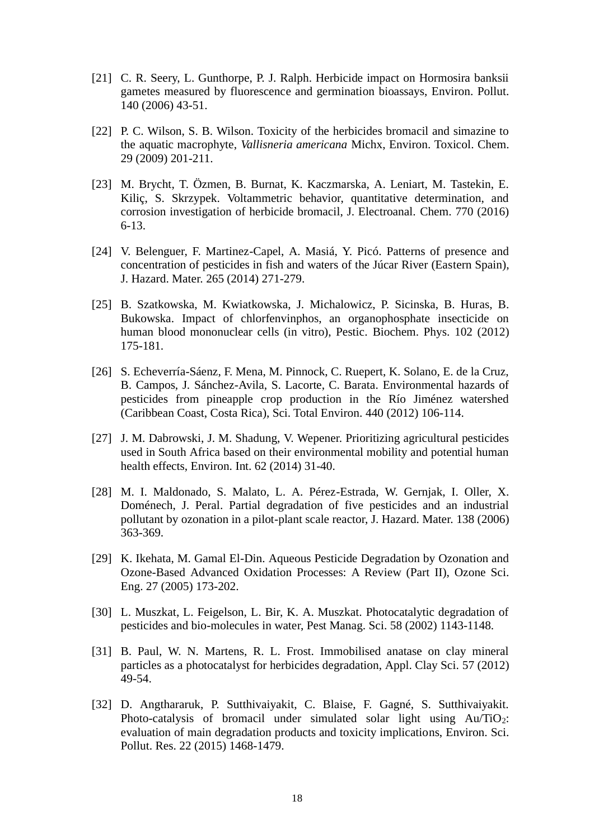- [21] C. R. Seery, L. Gunthorpe, P. J. Ralph. Herbicide impact on Hormosira banksii gametes measured by fluorescence and germination bioassays, Environ. Pollut. 140 (2006) 43-51.
- [22] P. C. Wilson, S. B. Wilson. Toxicity of the herbicides bromacil and simazine to the aquatic macrophyte, *Vallisneria americana* Michx, Environ. Toxicol. Chem. 29 (2009) 201-211.
- [23] M. Brycht, T. Özmen, B. Burnat, K. Kaczmarska, A. Leniart, M. Tastekin, E. Kiliç, S. Skrzypek. Voltammetric behavior, quantitative determination, and corrosion investigation of herbicide bromacil, J. Electroanal. Chem. 770 (2016) 6-13.
- [24] V. Belenguer, F. Martinez-Capel, A. Masiá, Y. Picó. Patterns of presence and concentration of pesticides in fish and waters of the Júcar River (Eastern Spain), J. Hazard. Mater. 265 (2014) 271-279.
- [25] B. Szatkowska, M. Kwiatkowska, J. Michalowicz, P. Sicinska, B. Huras, B. Bukowska. Impact of chlorfenvinphos, an organophosphate insecticide on human blood mononuclear cells (in vitro), Pestic. Biochem. Phys. 102 (2012) 175-181.
- [26] S. Echeverría-Sáenz, F. Mena, M. Pinnock, C. Ruepert, K. Solano, E. de la Cruz, B. Campos, J. Sánchez-Avila, S. Lacorte, C. Barata. Environmental hazards of pesticides from pineapple crop production in the Río Jiménez watershed (Caribbean Coast, Costa Rica), Sci. Total Environ. 440 (2012) 106-114.
- [27] J. M. Dabrowski, J. M. Shadung, V. Wepener. Prioritizing agricultural pesticides used in South Africa based on their environmental mobility and potential human health effects, Environ. Int. 62 (2014) 31-40.
- [28] M. I. Maldonado, S. Malato, L. A. Pérez-Estrada, W. Gernjak, I. Oller, X. Doménech, J. Peral. Partial degradation of five pesticides and an industrial pollutant by ozonation in a pilot-plant scale reactor, J. Hazard. Mater. 138 (2006) 363-369.
- [29] K. Ikehata, M. Gamal El-Din. Aqueous Pesticide Degradation by Ozonation and Ozone-Based Advanced Oxidation Processes: A Review (Part II), Ozone Sci. Eng. 27 (2005) 173-202.
- [30] L. Muszkat, L. Feigelson, L. Bir, K. A. Muszkat. Photocatalytic degradation of pesticides and bio-molecules in water, Pest Manag. Sci. 58 (2002) 1143-1148.
- [31] B. Paul, W. N. Martens, R. L. Frost. Immobilised anatase on clay mineral particles as a photocatalyst for herbicides degradation, Appl. Clay Sci. 57 (2012) 49-54.
- [32] D. Angthararuk, P. Sutthivaiyakit, C. Blaise, F. Gagné, S. Sutthivaiyakit. Photo-catalysis of bromacil under simulated solar light using  $Au/TiO<sub>2</sub>$ : evaluation of main degradation products and toxicity implications, Environ. Sci. Pollut. Res. 22 (2015) 1468-1479.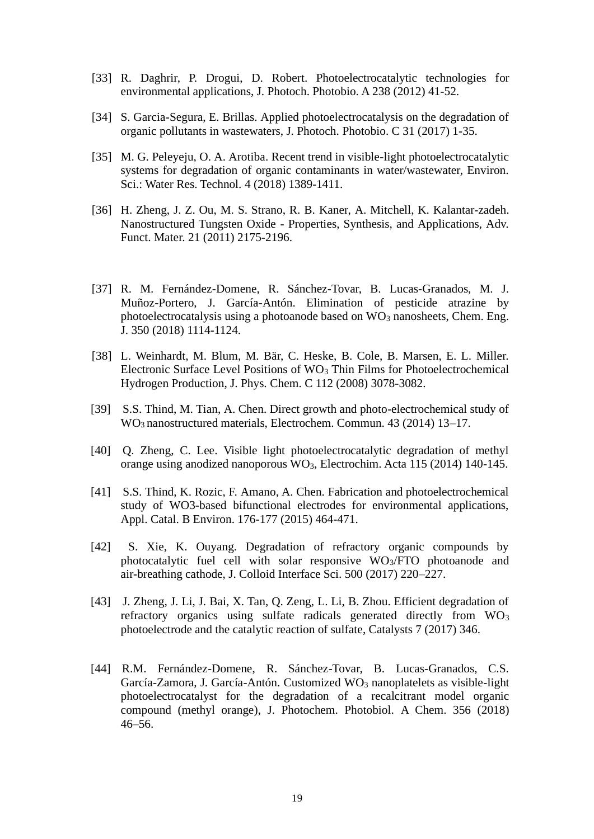- [33] R. Daghrir, P. Drogui, D. Robert. Photoelectrocatalytic technologies for environmental applications, J. Photoch. Photobio. A 238 (2012) 41-52.
- [34] S. Garcia-Segura, E. Brillas. Applied photoelectrocatalysis on the degradation of organic pollutants in wastewaters, J. Photoch. Photobio. C 31 (2017) 1-35.
- [35] M. G. Peleyeju, O. A. Arotiba. Recent trend in visible-light photoelectrocatalytic systems for degradation of organic contaminants in water/wastewater, Environ. Sci.: Water Res. Technol. 4 (2018) 1389-1411.
- [36] H. Zheng, J. Z. Ou, M. S. Strano, R. B. Kaner, A. Mitchell, K. Kalantar-zadeh. Nanostructured Tungsten Oxide - Properties, Synthesis, and Applications, Adv. Funct. Mater. 21 (2011) 2175-2196.
- [37] R. M. Fernández-Domene, R. Sánchez-Tovar, B. Lucas-Granados, M. J. Muñoz-Portero, J. García-Antón. Elimination of pesticide atrazine by photoelectrocatalysis using a photoanode based on  $WO_3$  nanosheets, Chem. Eng. J. 350 (2018) 1114-1124.
- [38] L. Weinhardt, M. Blum, M. Bär, C. Heske, B. Cole, B. Marsen, E. L. Miller. Electronic Surface Level Positions of WO<sup>3</sup> Thin Films for Photoelectrochemical Hydrogen Production, J. Phys. Chem. C 112 (2008) 3078-3082.
- [39] S.S. Thind, M. Tian, A. Chen. Direct growth and photo-electrochemical study of WO3 nanostructured materials, Electrochem. Commun. 43 (2014) 13–17.
- [40] Q. Zheng, C. Lee. Visible light photoelectrocatalytic degradation of methyl orange using anodized nanoporous WO3, Electrochim. Acta 115 (2014) 140-145.
- [41] S.S. Thind, K. Rozic, F. Amano, A. Chen. Fabrication and photoelectrochemical study of WO3-based bifunctional electrodes for environmental applications, Appl. Catal. B Environ. 176-177 (2015) 464-471.
- [42] S. Xie, K. Ouyang. Degradation of refractory organic compounds by photocatalytic fuel cell with solar responsive WO3/FTO photoanode and air-breathing cathode, J. Colloid Interface Sci. 500 (2017) 220–227.
- [43] J. Zheng, J. Li, J. Bai, X. Tan, Q. Zeng, L. Li, B. Zhou. Efficient degradation of refractory organics using sulfate radicals generated directly from WO<sub>3</sub> photoelectrode and the catalytic reaction of sulfate, Catalysts 7 (2017) 346.
- [44] R.M. Fernández-Domene, R. Sánchez-Tovar, B. Lucas-Granados, C.S. García-Zamora, J. García-Antón. Customized WO<sub>3</sub> nanoplatelets as visible-light photoelectrocatalyst for the degradation of a recalcitrant model organic compound (methyl orange), J. Photochem. Photobiol. A Chem. 356 (2018) 46–56.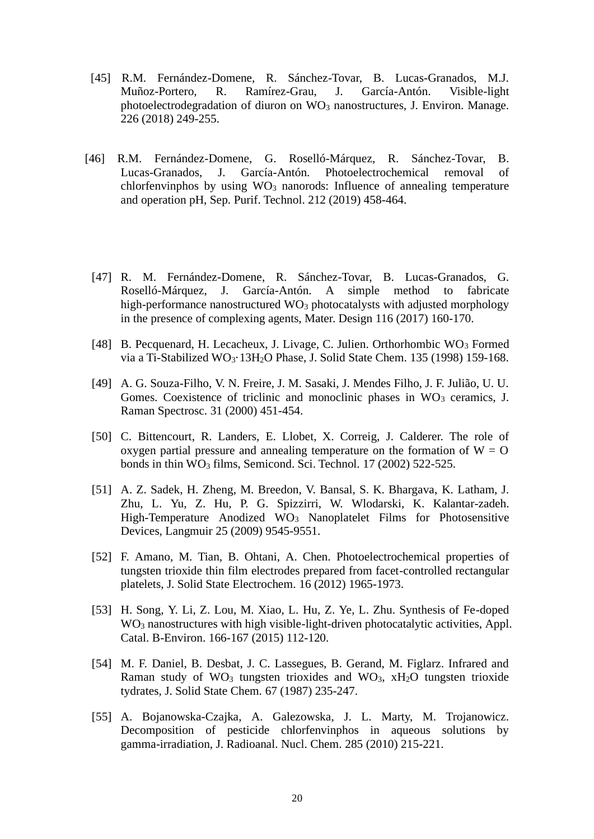- [45] R.M. Fernández-Domene, R. Sánchez-Tovar, B. Lucas-Granados, M.J. Muñoz-Portero, R. Ramírez-Grau, J. García-Antón. Visible-light photoelectrodegradation of diuron on  $WO_3$  nanostructures, J. Environ. Manage. 226 (2018) 249-255.
- [46] R.M. Fernández-Domene, G. Roselló-Márquez, R. Sánchez-Tovar, B. Lucas-Granados, J. García-Antón. Photoelectrochemical removal of chlorfenvinphos by using  $WO_3$  nanorods: Influence of annealing temperature and operation pH, Sep. Purif. Technol. 212 (2019) 458-464.
	- [47] R. M. Fernández-Domene, R. Sánchez-Tovar, B. Lucas-Granados, G. Roselló-Márquez, J. García-Antón. A simple method to fabricate high-performance nanostructured  $WO<sub>3</sub>$  photocatalysts with adjusted morphology in the presence of complexing agents, Mater. Design 116 (2017) 160-170.
	- [48] B. Pecquenard, H. Lecacheux, J. Livage, C. Julien. Orthorhombic  $WO_3$  Formed via a Ti-Stabilized WO<sub>3</sub>·13H<sub>2</sub>O Phase, J. Solid State Chem. 135 (1998) 159-168.
	- [49] A. G. Souza-Filho, V. N. Freire, J. M. Sasaki, J. Mendes Filho, J. F. Julião, U. U. Gomes. Coexistence of triclinic and monoclinic phases in  $WO<sub>3</sub>$  ceramics, J. Raman Spectrosc. 31 (2000) 451-454.
	- [50] C. Bittencourt, R. Landers, E. Llobet, X. Correig, J. Calderer. The role of oxygen partial pressure and annealing temperature on the formation of  $W = O$ bonds in thin WO<sub>3</sub> films, Semicond. Sci. Technol. 17 (2002) 522-525.
	- [51] A. Z. Sadek, H. Zheng, M. Breedon, V. Bansal, S. K. Bhargava, K. Latham, J. Zhu, L. Yu, Z. Hu, P. G. Spizzirri, W. Wlodarski, K. Kalantar-zadeh. High-Temperature Anodized WO<sub>3</sub> Nanoplatelet Films for Photosensitive Devices, Langmuir 25 (2009) 9545-9551.
	- [52] F. Amano, M. Tian, B. Ohtani, A. Chen. Photoelectrochemical properties of tungsten trioxide thin film electrodes prepared from facet-controlled rectangular platelets, J. Solid State Electrochem. 16 (2012) 1965-1973.
	- [53] H. Song, Y. Li, Z. Lou, M. Xiao, L. Hu, Z. Ye, L. Zhu. Synthesis of Fe-doped WO<sup>3</sup> nanostructures with high visible-light-driven photocatalytic activities, Appl. Catal. B-Environ. 166-167 (2015) 112-120.
	- [54] M. F. Daniel, B. Desbat, J. C. Lassegues, B. Gerand, M. Figlarz. Infrared and Raman study of  $WO_3$  tungsten trioxides and  $WO_3$ ,  $xH_2O$  tungsten trioxide tydrates, J. Solid State Chem. 67 (1987) 235-247.
	- [55] A. Bojanowska-Czajka, A. Galezowska, J. L. Marty, M. Trojanowicz. Decomposition of pesticide chlorfenvinphos in aqueous solutions by gamma-irradiation, J. Radioanal. Nucl. Chem. 285 (2010) 215-221.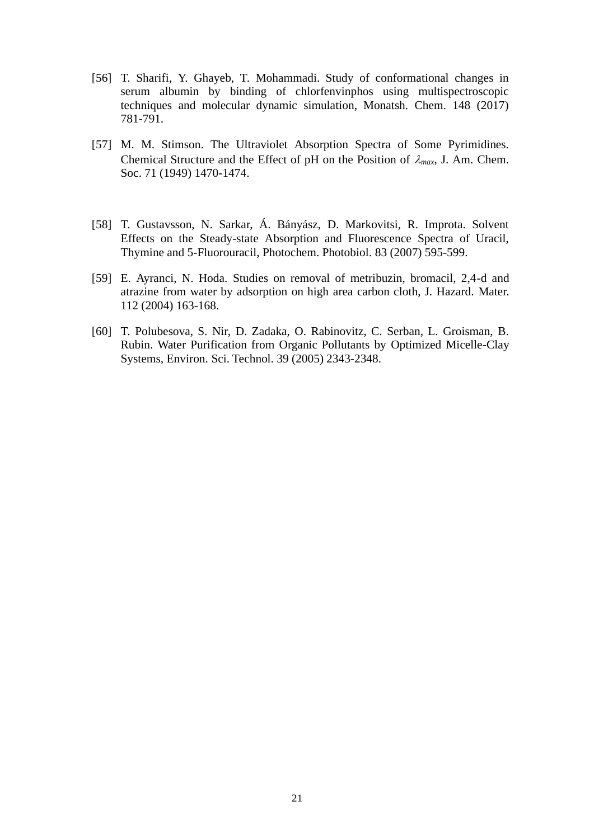- [56] T. Sharifi, Y. Ghayeb, T. Mohammadi. Study of conformational changes in serum albumin by binding of chlorfenvinphos using multispectroscopic techniques and molecular dynamic simulation, Monatsh. Chem. 148 (2017) 781-791.
- [57] M. M. Stimson. The Ultraviolet Absorption Spectra of Some Pyrimidines. Chemical Structure and the Effect of pH on the Position of  $\lambda_{max}$ , J. Am. Chem. Soc. 71 (1949) 1470-1474.
- [58] T. Gustavsson, N. Sarkar, Á. Bányász, D. Markovitsi, R. Improta. Solvent Effects on the Steady-state Absorption and Fluorescence Spectra of Uracil, Thymine and 5-Fluorouracil, Photochem. Photobiol. 83 (2007) 595-599.
- [59] E. Ayranci, N. Hoda. Studies on removal of metribuzin, bromacil, 2,4-d and atrazine from water by adsorption on high area carbon cloth, J. Hazard. Mater. 112 (2004) 163-168.
- [60] T. Polubesova, S. Nir, D. Zadaka, O. Rabinovitz, C. Serban, L. Groisman, B. Rubin. Water Purification from Organic Pollutants by Optimized Micelle-Clay Systems, Environ. Sci. Technol. 39 (2005) 2343-2348.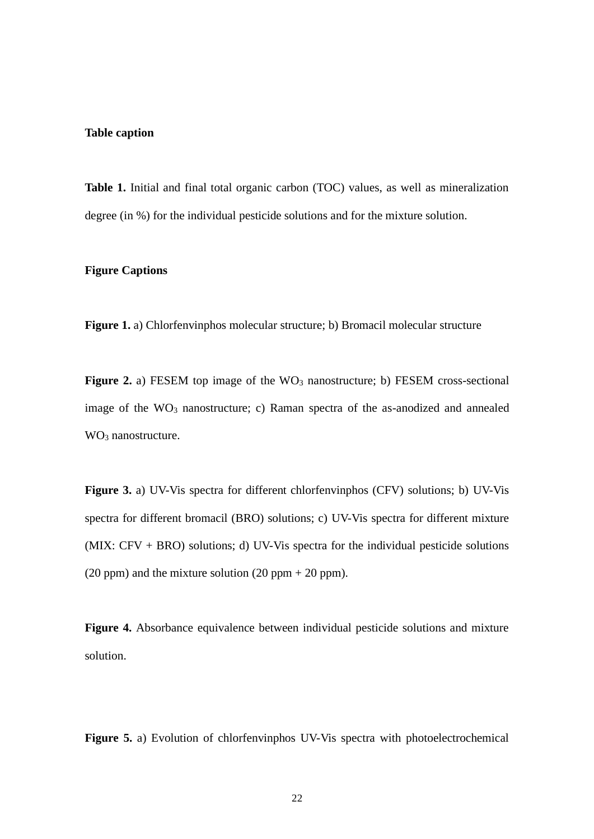#### **Table caption**

**Table 1.** Initial and final total organic carbon (TOC) values, as well as mineralization degree (in %) for the individual pesticide solutions and for the mixture solution.

## **Figure Captions**

**Figure 1.** a) Chlorfenvinphos molecular structure; b) Bromacil molecular structure

**Figure 2.** a) FESEM top image of the WO<sub>3</sub> nanostructure; b) FESEM cross-sectional image of the  $WO_3$  nanostructure; c) Raman spectra of the as-anodized and annealed WO<sub>3</sub> nanostructure.

**Figure 3.** a) UV-Vis spectra for different chlorfenvinphos (CFV) solutions; b) UV-Vis spectra for different bromacil (BRO) solutions; c) UV-Vis spectra for different mixture (MIX: CFV + BRO) solutions; d) UV-Vis spectra for the individual pesticide solutions (20 ppm) and the mixture solution (20 ppm  $+$  20 ppm).

**Figure 4.** Absorbance equivalence between individual pesticide solutions and mixture solution.

**Figure 5.** a) Evolution of chlorfenvinphos UV-Vis spectra with photoelectrochemical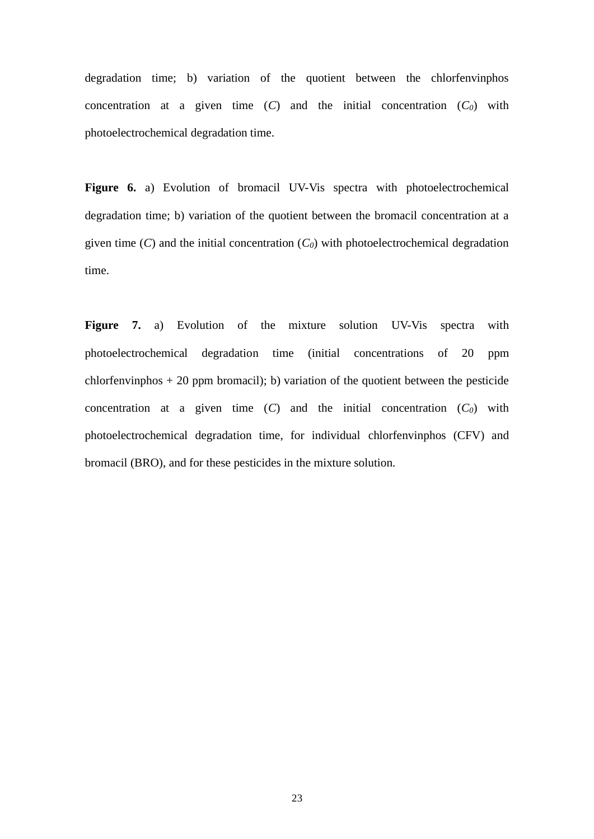degradation time; b) variation of the quotient between the chlorfenvinphos concentration at a given time  $(C)$  and the initial concentration  $(C_0)$  with photoelectrochemical degradation time.

Figure 6. a) Evolution of bromacil UV-Vis spectra with photoelectrochemical degradation time; b) variation of the quotient between the bromacil concentration at a given time  $(C)$  and the initial concentration  $(C_0)$  with photoelectrochemical degradation time.

Figure 7. a) Evolution of the mixture solution UV-Vis spectra with photoelectrochemical degradation time (initial concentrations of 20 ppm chlorfenvinphos  $+ 20$  ppm bromacil); b) variation of the quotient between the pesticide concentration at a given time  $(C)$  and the initial concentration  $(C_0)$  with photoelectrochemical degradation time, for individual chlorfenvinphos (CFV) and bromacil (BRO), and for these pesticides in the mixture solution.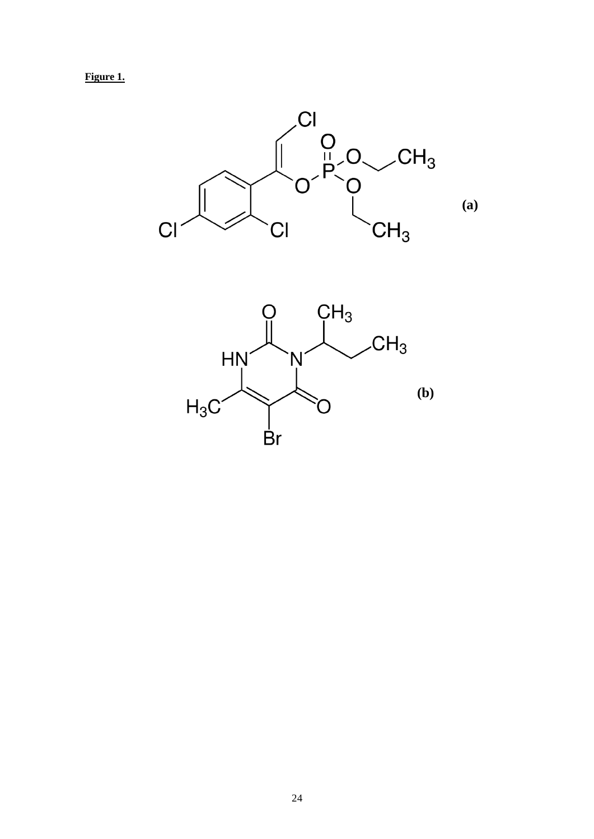**Figure 1.**



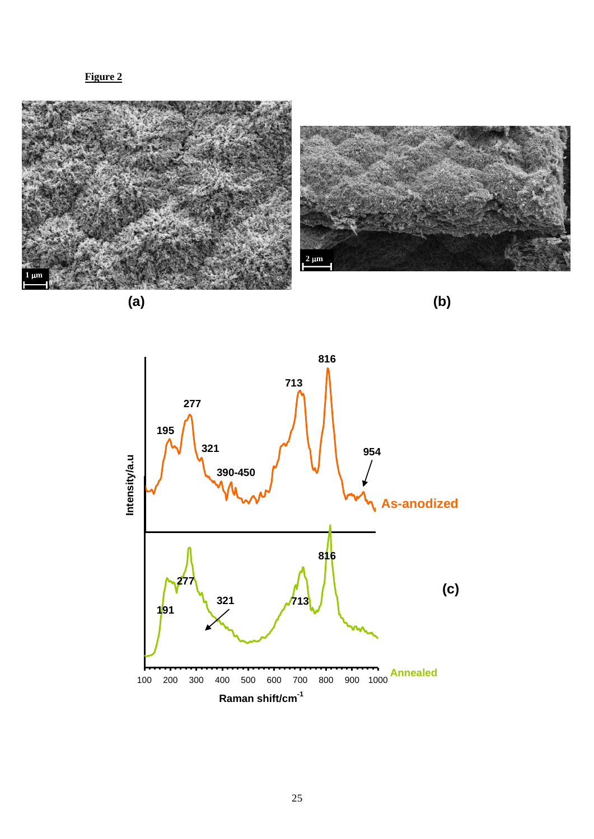**Figure 2**



**(a)**

**(b)**

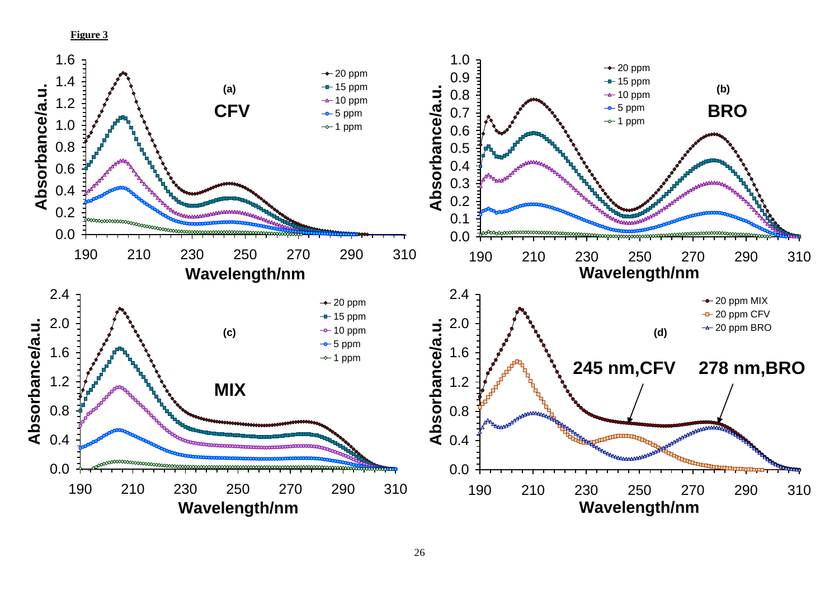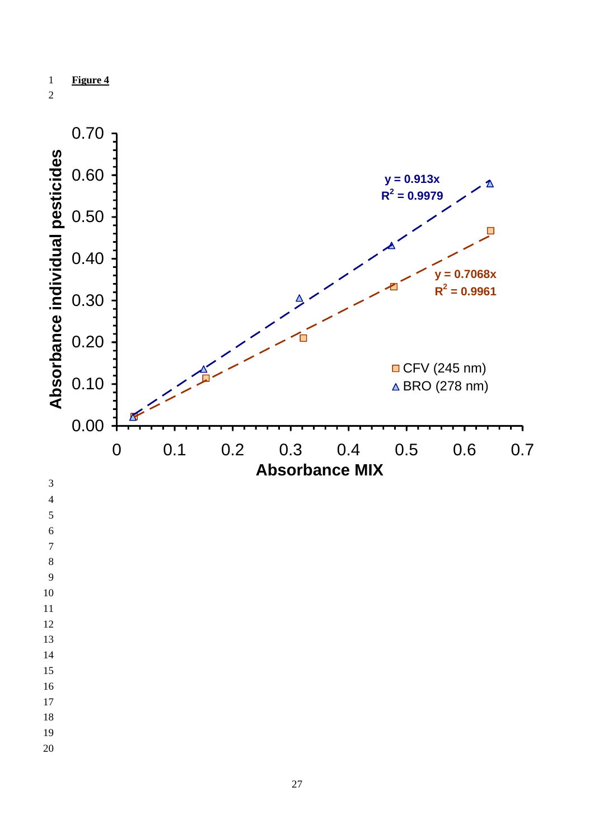



9

10 11

- 12
- 13
- 14 15

16

- 17
- 18
- 
- 19
- 20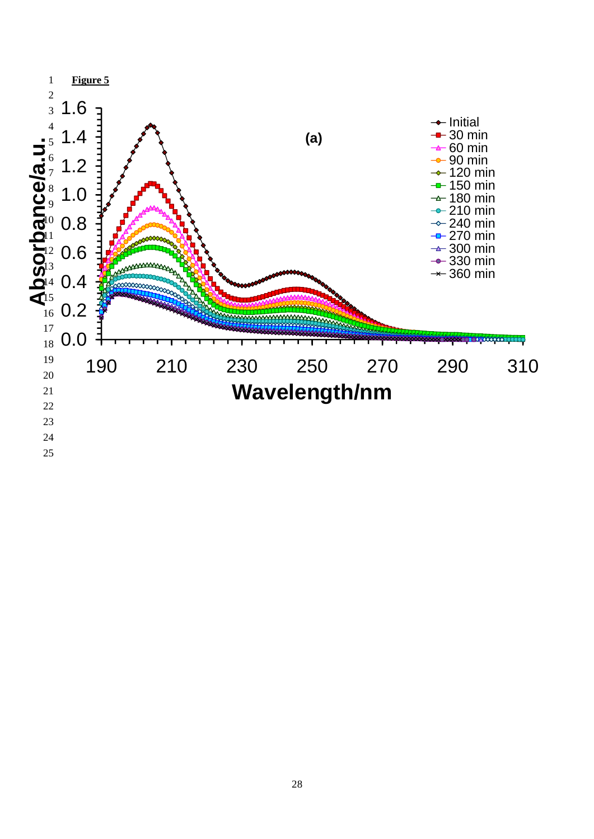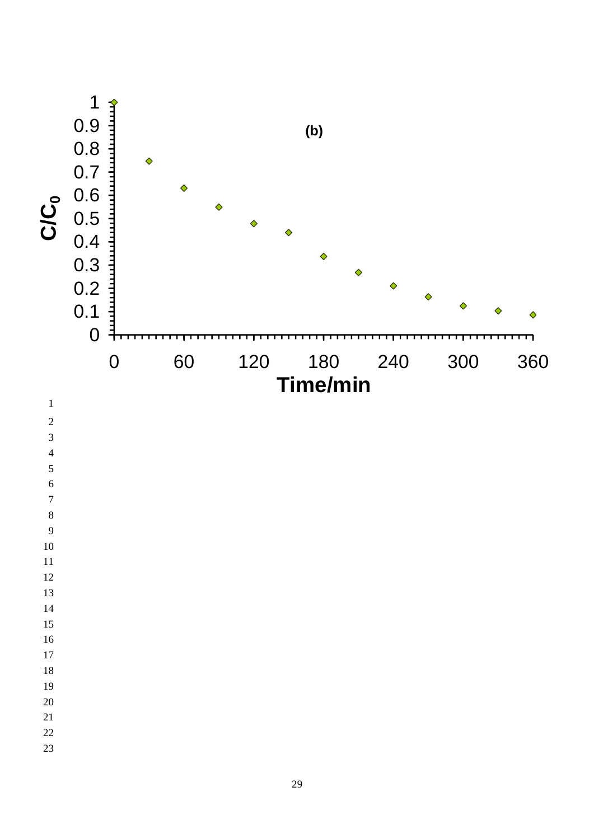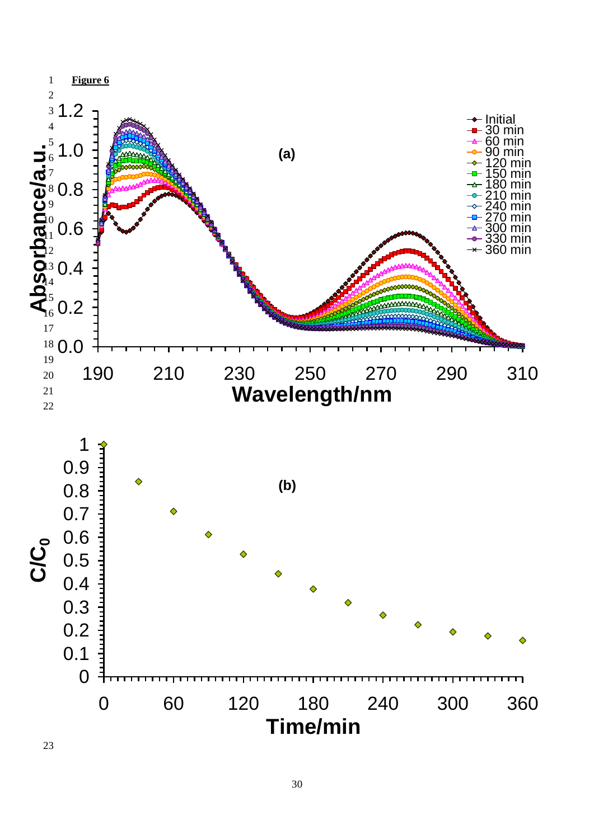

23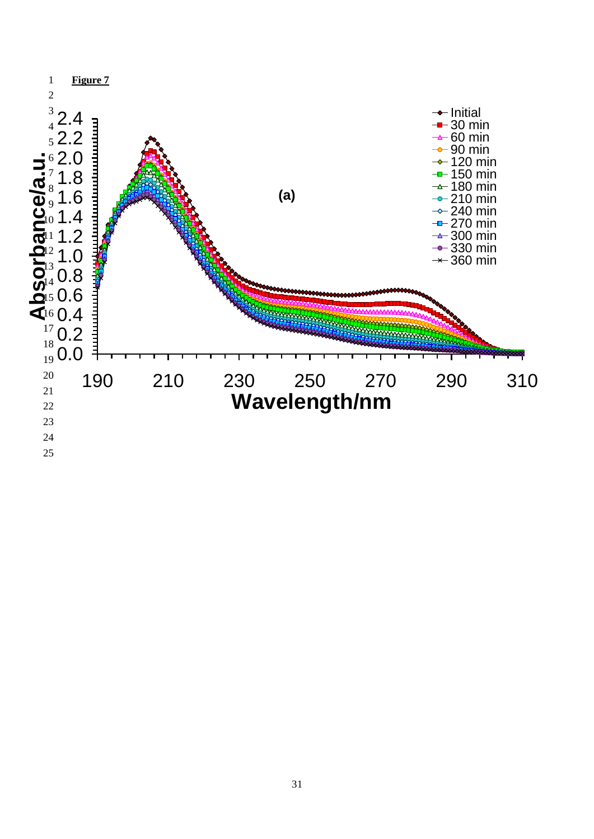